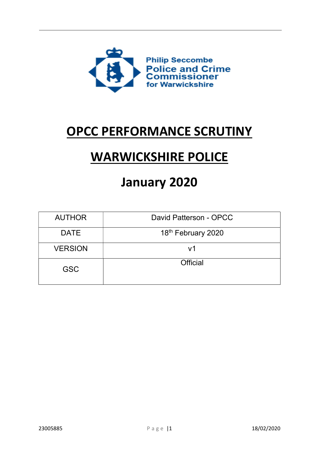

# OPCC PERFORMANCE SCRUTINY

# WARWICKSHIRE POLICE

# January 2020

| <b>AUTHOR</b>                 | David Patterson - OPCC |  |  |
|-------------------------------|------------------------|--|--|
| <b>DATE</b>                   | 18th February 2020     |  |  |
| <b>VERSION</b>                | V <sub>1</sub>         |  |  |
| <b>Official</b><br><b>GSC</b> |                        |  |  |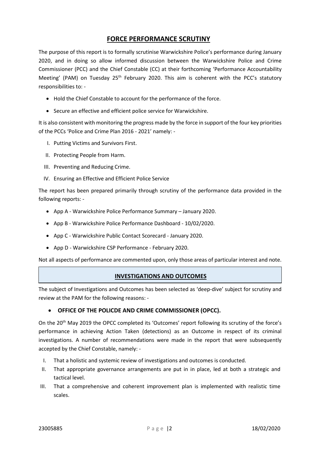# FORCE PERFORMANCE SCRUTINY

The purpose of this report is to formally scrutinise Warwickshire Police's performance during January 2020, and in doing so allow informed discussion between the Warwickshire Police and Crime Commissioner (PCC) and the Chief Constable (CC) at their forthcoming 'Performance Accountability Meeting' (PAM) on Tuesday 25<sup>th</sup> February 2020. This aim is coherent with the PCC's statutory responsibilities to: -

- Hold the Chief Constable to account for the performance of the force.
- Secure an effective and efficient police service for Warwickshire.

It is also consistent with monitoring the progress made by the force in support of the four key priorities of the PCCs 'Police and Crime Plan 2016 - 2021' namely: -

- I. Putting Victims and Survivors First.
- II. Protecting People from Harm.
- III. Preventing and Reducing Crime.
- IV. Ensuring an Effective and Efficient Police Service

The report has been prepared primarily through scrutiny of the performance data provided in the following reports: -

- App A Warwickshire Police Performance Summary January 2020.
- App B Warwickshire Police Performance Dashboard 10/02/2020.
- App C Warwickshire Public Contact Scorecard January 2020.
- App D Warwickshire CSP Performance February 2020.

Not all aspects of performance are commented upon, only those areas of particular interest and note.

### INVESTIGATIONS AND OUTCOMES

The subject of Investigations and Outcomes has been selected as 'deep-dive' subject for scrutiny and review at the PAM for the following reasons: -

# OFFICE OF THE POLICDE AND CRIME COMMISSIONER (OPCC).

On the 20th May 2019 the OPCC completed its 'Outcomes' report following its scrutiny of the force's performance in achieving Action Taken (detections) as an Outcome in respect of its criminal investigations. A number of recommendations were made in the report that were subsequently accepted by the Chief Constable, namely: -

- I. That a holistic and systemic review of investigations and outcomes is conducted.
- II. That appropriate governance arrangements are put in in place, led at both a strategic and tactical level.
- III. That a comprehensive and coherent improvement plan is implemented with realistic time scales.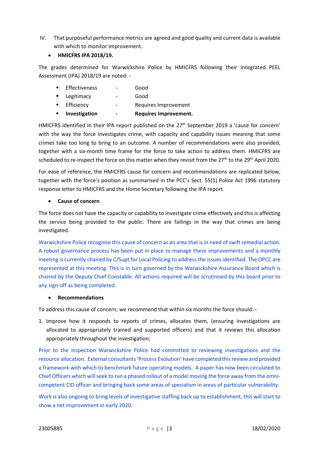IV. That purposeful performance metrics are agreed and good quality and current data is available with which to monitor improvement.

# HMICFRS IPA 2018/19.

The grades determined for Warwickshire Police by HMICFRS following their Integrated PEEL Assessment (IPA) 2018/19 are noted: -

 Effectiveness - Good **Example 2** Legitimacy **Conditional Example 2 Good Efficiency** - Requires Improvement **EXECUTE:** Investigation - Requires Improvement.

HMICFRS identified in their IPA report published on the 27<sup>th</sup> September 2019 a 'cause for concern' with the way the force investigates crime, with capacity and capability issues meaning that some crimes take too long to bring to an outcome. A number of recommendations were also provided, together with a six-month time frame for the force to take action to address them. HMICFRS are scheduled to re-inspect the force on this matter when they revisit from the 27<sup>th</sup> to the 29<sup>th</sup> April 2020.

For ease of reference, the HMICFRS cause for concern and recommendations are replicated below, together with the force's position as summarised in the PCC's Sect. 55(1) Police Act 1996 statutory response letter to HMICFRS and the Home Secretary following the IPA report.

# Cause of concern

The force does not have the capacity or capability to investigate crime effectively and this is affecting the service being provided to the public. There are failings in the way that crimes are being investigated.

Warwickshire Police recognise this cause of concern as an area that is in need of swift remedial action. A robust governance process has been put in place to manage these improvements and a monthly meeting is currently chaired by C/Supt for Local Policing to address the issues identified. The OPCC are represented at this meeting. This is in turn governed by the Warwickshire Assurance Board which is chaired by the Deputy Chief Constable. All actions required will be scrutinised by this board prior to any sign-off as being completed.

### Recommendations

To address this cause of concern, we recommend that within six months the force should: -

1. Improve how it responds to reports of crimes, allocates them, (ensuring investigations are allocated to appropriately trained and supported officers) and that it reviews this allocation appropriately throughout the investigation;

Prior to the inspection Warwickshire Police had committed to reviewing investigations and the resource allocation. External consultants 'Process Evolution' have completed this review and provided a framework with which to benchmark future operating models. A paper has now been circulated to Chief Officers which will seek to run a phased rollout of a model moving the force away from the omnicompetent CID officer and bringing back some areas of specialism in areas of particular vulnerability.

Work is also ongoing to bring levels of investigative staffing back up to establishment, this will start to show a net improvement in early 2020.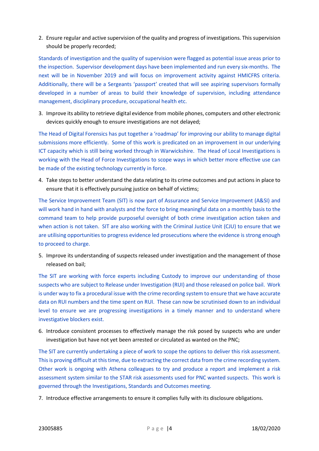2. Ensure regular and active supervision of the quality and progress of investigations. This supervision should be properly recorded;

Standards of investigation and the quality of supervision were flagged as potential issue areas prior to the inspection. Supervisor development days have been implemented and run every six-months. The next will be in November 2019 and will focus on improvement activity against HMICFRS criteria. Additionally, there will be a Sergeants 'passport' created that will see aspiring supervisors formally developed in a number of areas to build their knowledge of supervision, including attendance management, disciplinary procedure, occupational health etc.

3. Improve its ability to retrieve digital evidence from mobile phones, computers and other electronic devices quickly enough to ensure investigations are not delayed;

The Head of Digital Forensics has put together a 'roadmap' for improving our ability to manage digital submissions more efficiently. Some of this work is predicated on an improvement in our underlying ICT capacity which is still being worked through in Warwickshire. The Head of Local Investigations is working with the Head of Force Investigations to scope ways in which better more effective use can be made of the existing technology currently in force.

4. Take steps to better understand the data relating to its crime outcomes and put actions in place to ensure that it is effectively pursuing justice on behalf of victims;

The Service Improvement Team (SIT) is now part of Assurance and Service Improvement (A&SI) and will work hand in hand with analysts and the force to bring meaningful data on a monthly basis to the command team to help provide purposeful oversight of both crime investigation action taken and when action is not taken. SIT are also working with the Criminal Justice Unit (CJU) to ensure that we are utilising opportunities to progress evidence led prosecutions where the evidence is strong enough to proceed to charge.

5. Improve its understanding of suspects released under investigation and the management of those released on bail;

The SIT are working with force experts including Custody to improve our understanding of those suspects who are subject to Release under Investigation (RUI) and those released on police bail. Work is under way to fix a procedural issue with the crime recording system to ensure that we have accurate data on RUI numbers and the time spent on RUI. These can now be scrutinised down to an individual level to ensure we are progressing investigations in a timely manner and to understand where investigative blockers exist.

6. Introduce consistent processes to effectively manage the risk posed by suspects who are under investigation but have not yet been arrested or circulated as wanted on the PNC;

The SIT are currently undertaking a piece of work to scope the options to deliver this risk assessment. This is proving difficult at this time, due to extracting the correct data from the crime recording system. Other work is ongoing with Athena colleagues to try and produce a report and implement a risk assessment system similar to the STAR risk assessments used for PNC wanted suspects. This work is governed through the Investigations, Standards and Outcomes meeting.

7. Introduce effective arrangements to ensure it complies fully with its disclosure obligations.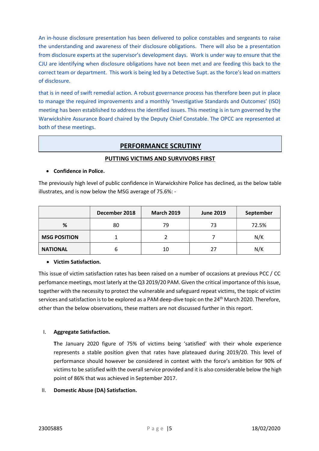An in-house disclosure presentation has been delivered to police constables and sergeants to raise the understanding and awareness of their disclosure obligations. There will also be a presentation from disclosure experts at the supervisor's development days. Work is under way to ensure that the CJU are identifying when disclosure obligations have not been met and are feeding this back to the correct team or department. This work is being led by a Detective Supt. as the force's lead on matters of disclosure.

that is in need of swift remedial action. A robust governance process has therefore been put in place to manage the required improvements and a monthly 'Investigative Standards and Outcomes' (ISO) meeting has been established to address the identified issues. This meeting is in turn governed by the Warwickshire Assurance Board chaired by the Deputy Chief Constable. The OPCC are represented at both of these meetings.

# PERFORMANCE SCRUTINY

# PUTTING VICTIMS AND SURVIVORS FIRST

### Confidence in Police.

The previously high level of public confidence in Warwickshire Police has declined, as the below table illustrates, and is now below the MSG average of 75.6%: -

|                     | December 2018 | <b>March 2019</b> | <b>June 2019</b> | September |
|---------------------|---------------|-------------------|------------------|-----------|
| %                   | 80            | 79                | 73               | 72.5%     |
| <b>MSG POSITION</b> |               |                   |                  | N/K       |
| <b>NATIONAL</b>     | b             | 10                | 27               | N/K       |

# • Victim Satisfaction.

This issue of victim satisfaction rates has been raised on a number of occasions at previous PCC / CC perfomance meetings, most laterly at the Q3 2019/20 PAM. Given the critical importance of this issue, together with the necessity to protect the vulnerable and safeguard repeat victims, the topic of victim services and satisfaction is to be explored as a PAM deep-dive topic on the 24<sup>th</sup> March 2020. Therefore, other than the below observations, these matters are not discussed further in this report.

# I. Aggregate Satisfaction.

The January 2020 figure of 75% of victims being 'satisfied' with their whole experience represents a stable position given that rates have plateaued during 2019/20. This level of performance should however be considered in context with the force's ambition for 90% of victims to be satisfied with the overall service provided and it is also considerable below the high point of 86% that was achieved in September 2017.

# II. Domestic Abuse (DA) Satisfaction.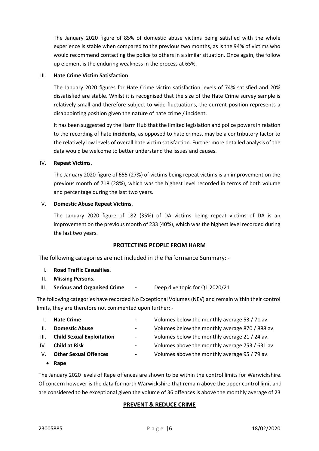The January 2020 figure of 85% of domestic abuse victims being satisfied with the whole experience is stable when compared to the previous two months, as is the 94% of victims who would recommend contacting the police to others in a similar situation. Once again, the follow up element is the enduring weakness in the process at 65%.

#### III. Hate Crime Victim Satisfaction

The January 2020 figures for Hate Crime victim satisfaction levels of 74% satisfied and 20% dissatisfied are stable. Whilst it is recognised that the size of the Hate Crime survey sample is relatively small and therefore subject to wide fluctuations, the current position represents a disappointing position given the nature of hate crime / incident.

It has been suggested by the Harm Hub that the limited legislation and police powers in relation to the recording of hate incidents, as opposed to hate crimes, may be a contributory factor to the relatively low levels of overall hate victim satisfaction. Further more detailed analysis of the data would be welcome to better understand the issues and causes.

#### IV. Repeat Victims.

The January 2020 figure of 655 (27%) of victims being repeat victims is an improvement on the previous month of 718 (28%), which was the highest level recorded in terms of both volume and percentage during the last two years.

#### V. Domestic Abuse Repeat Victims.

The January 2020 figure of 182 (35%) of DA victims being repeat victims of DA is an improvement on the previous month of 233 (40%), which was the highest level recorded during the last two years.

### PROTECTING PEOPLE FROM HARM

The following categories are not included in the Performance Summary: -

- I. Road Traffic Casualties.
- II. Missing Persons.
- III. Serious and Organised Crime Deep dive topic for Q1 2020/21

The following categories have recorded No Exceptional Volumes (NEV) and remain within their control limits, they are therefore not commented upon further: -

I. Hate Crime **I. A. Election Community** Hate Crime  $\frac{1}{2}$  and  $\frac{1}{2}$  are volumes below the monthly average 53 / 71 av. II. **Domestic Abuse Discusse Access** - Volumes below the monthly average 870 / 888 av. III. Child Sexual Exploitation  $\blacksquare$  - Volumes below the monthly average 21 / 24 av. IV. **Child at Risk**  $\blacksquare$  **-** Volumes above the monthly average 753 / 631 av. V. Other Sexual Offences - Volumes above the monthly average 95 / 79 av. • Rape

The January 2020 levels of Rape offences are shown to be within the control limits for Warwickshire. Of concern however is the data for north Warwickshire that remain above the upper control limit and are considered to be exceptional given the volume of 36 offences is above the monthly average of 23

### PREVENT & REDUCE CRIME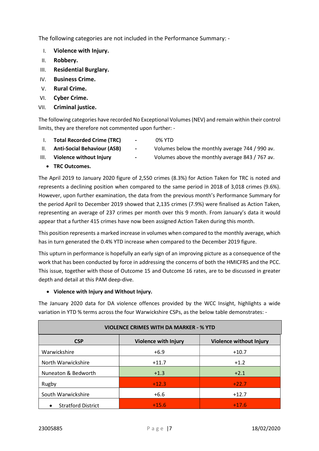The following categories are not included in the Performance Summary: -

- I. Violence with Injury.
- II. Robbery.
- III. Residential Burglary.
- IV. Business Crime.
- V. Rural Crime.
- VI. Cyber Crime.
- VII. Criminal justice.

The following categories have recorded No Exceptional Volumes (NEV) and remain within their control limits, they are therefore not commented upon further: -

- I. Total Recorded Crime (TRC) 0% YTD
	-
- 
- II. Anti-Social Behaviour (ASB) Volumes below the monthly average 744 / 990 av.
	-
- III. Violence without Injury  $\qquad \qquad -$  Volumes above the monthly average 843 / 767 av.
	- TRC Outcomes.

The April 2019 to January 2020 figure of 2,550 crimes (8.3%) for Action Taken for TRC is noted and represents a declining position when compared to the same period in 2018 of 3,018 crimes (9.6%). However, upon further examination, the data from the previous month's Performance Summary for the period April to December 2019 showed that 2,135 crimes (7.9%) were finalised as Action Taken, representing an average of 237 crimes per month over this 9 month. From January's data it would appear that a further 415 crimes have now been assigned Action Taken during this month.

This position represents a marked increase in volumes when compared to the monthly average, which has in turn generated the 0.4% YTD increase when compared to the December 2019 figure.

This upturn in performance is hopefully an early sign of an improving picture as a consequence of the work that has been conducted by force in addressing the concerns of both the HMICFRS and the PCC. This issue, together with those of Outcome 15 and Outcome 16 rates, are to be discussed in greater depth and detail at this PAM deep-dive.

# Violence with Injury and Without Injury.

The January 2020 data for DA violence offences provided by the WCC Insight, highlights a wide variation in YTD % terms across the four Warwickshire CSPs, as the below table demonstrates: -

| <b>VIOLENCE CRIMES WITH DA MARKER - % YTD</b> |                             |                                |  |  |  |
|-----------------------------------------------|-----------------------------|--------------------------------|--|--|--|
| <b>CSP</b>                                    | <b>Violence with Injury</b> | <b>Violence without Injury</b> |  |  |  |
| Warwickshire                                  | $+6.9$                      | $+10.7$                        |  |  |  |
| North Warwickshire                            | $+11.7$                     | $+1.2$                         |  |  |  |
| Nuneaton & Bedworth                           | $+1.3$                      | $+2.1$                         |  |  |  |
| Rugby                                         | $+12.3$                     | $+22.7$                        |  |  |  |
| South Warwickshire                            | $+6.6$                      | $+12.7$                        |  |  |  |
| <b>Stratford District</b>                     | $+15.6$                     | $+17.6$                        |  |  |  |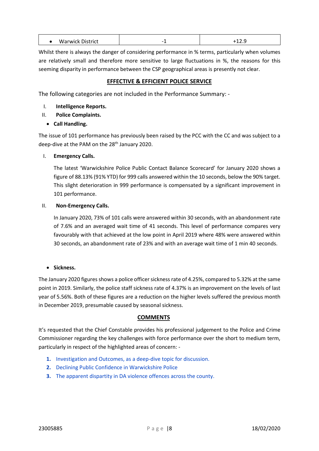| w<br>ir wic<br>ill ICL<br><b>UIVV</b> | $\overline{\phantom{0}}$ |  |
|---------------------------------------|--------------------------|--|
|                                       |                          |  |

Whilst there is always the danger of considering performance in % terms, particularly when volumes are relatively small and therefore more sensitive to large fluctuations in %, the reasons for this seeming disparity in performance between the CSP geographical areas is presently not clear.

# EFFECTIVE & EFFICIENT POLICE SERVICE

The following categories are not included in the Performance Summary: -

### I. Intelligence Reports.

- II. Police Complaints.
	- Call Handling.

The issue of 101 performance has previously been raised by the PCC with the CC and was subject to a deep-dive at the PAM on the 28<sup>th</sup> January 2020.

# I. Emergency Calls.

The latest 'Warwickshire Police Public Contact Balance Scorecard' for January 2020 shows a figure of 88.13% (91% YTD) for 999 calls answered within the 10 seconds, below the 90% target. This slight deterioration in 999 performance is compensated by a significant improvement in 101 performance.

### II. Non-Emergency Calls.

In January 2020, 73% of 101 calls were answered within 30 seconds, with an abandonment rate of 7.6% and an averaged wait time of 41 seconds. This level of performance compares very favourably with that achieved at the low point in April 2019 where 48% were answered within 30 seconds, an abandonment rate of 23% and with an average wait time of 1 min 40 seconds.

### • Sickness.

The January 2020 figures shows a police officer sickness rate of 4.25%, compared to 5.32% at the same point in 2019. Similarly, the police staff sickness rate of 4.37% is an improvement on the levels of last year of 5.56%. Both of these figures are a reduction on the higher levels suffered the previous month in December 2019, presumable caused by seasonal sickness.

### **COMMENTS**

It's requested that the Chief Constable provides his professional judgement to the Police and Crime Commissioner regarding the key challenges with force performance over the short to medium term, particularly in respect of the highlighted areas of concern: -

- 1. Investigation and Outcomes, as a deep-dive topic for discussion.
- 2. Declining Public Confidence in Warwickshire Police
- 3. The apparent dispartity in DA violence offences across the county.